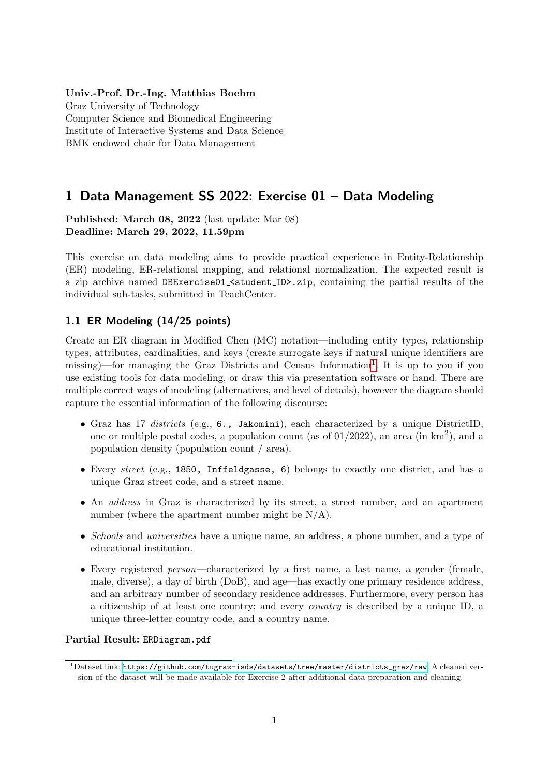### Univ.-Prof. Dr.-Ing. Matthias Boehm

Graz University of Technology Computer Science and Biomedical Engineering Institute of Interactive Systems and Data Science BMK endowed chair for Data Management

# 1 Data Management SS 2022: Exercise 01 – Data Modeling

Published: March 08, 2022 (last update: Mar 08) Deadline: March 29, 2022, 11.59pm

This exercise on data modeling aims to provide practical experience in Entity-Relationship (ER) modeling, ER-relational mapping, and relational normalization. The expected result is a zip archive named DBExercise01\_<student\_ID>.zip, containing the partial results of the individual sub-tasks, submitted in TeachCenter.

### <span id="page-0-1"></span>1.1 ER Modeling (14/25 points)

Create an ER diagram in Modified Chen (MC) notation—including entity types, relationship types, attributes, cardinalities, and keys (create surrogate keys if natural unique identifiers are missing)—for managing the Graz Districts and Census Information<sup>[1](#page-0-0)</sup>. It is up to you if you use existing tools for data modeling, or draw this via presentation software or hand. There are multiple correct ways of modeling (alternatives, and level of details), however the diagram should capture the essential information of the following discourse:

- Graz has 17 districts (e.g., 6., Jakomini), each characterized by a unique DistrictID, one or multiple postal codes, a population count (as of  $01/2022$ ), an area (in  $km<sup>2</sup>$ ), and a population density (population count / area).
- Every street (e.g., 1850, Inffeldgasse, 6) belongs to exactly one district, and has a unique Graz street code, and a street name.
- An address in Graz is characterized by its street, a street number, and an apartment number (where the apartment number might be  $N/A$ ).
- Schools and *universities* have a unique name, an address, a phone number, and a type of educational institution.
- Every registered person—characterized by a first name, a last name, a gender (female, male, diverse), a day of birth (DoB), and age—has exactly one primary residence address, and an arbitrary number of secondary residence addresses. Furthermore, every person has a citizenship of at least one country; and every country is described by a unique ID, a unique three-letter country code, and a country name.

### Partial Result: ERDiagram.pdf

<span id="page-0-0"></span><sup>1</sup>Dataset link: [https://github.com/tugraz-isds/datasets/tree/master/districts\\_graz/raw](https://github.com/tugraz-isds/datasets/tree/master/districts_graz/raw). A cleaned version of the dataset will be made available for Exercise 2 after additional data preparation and cleaning.